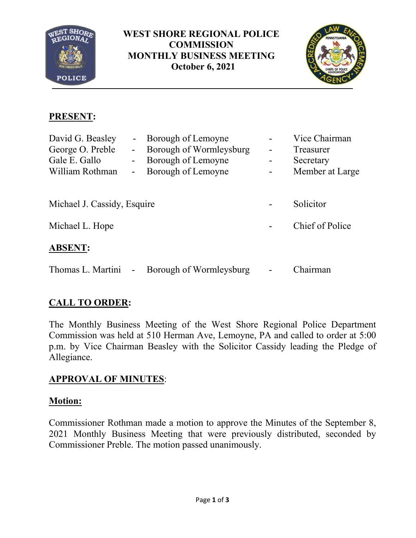

**WEST SHORE REGIONAL POLICE COMMISSION MONTHLY BUSINESS MEETING October 6, 2021**



# **PRESENT:**

| David G. Beasley            |                              | Borough of Lemoyne      |                | Vice Chairman   |
|-----------------------------|------------------------------|-------------------------|----------------|-----------------|
| George O. Preble            | $\qquad \qquad \blacksquare$ | Borough of Wormleysburg | -              | Treasurer       |
| Gale E. Gallo               | $\sim$                       | Borough of Lemoyne      | $\blacksquare$ | Secretary       |
| William Rothman             | ۰                            | Borough of Lemoyne      |                | Member at Large |
|                             |                              |                         |                |                 |
| Michael J. Cassidy, Esquire |                              |                         |                | Solicitor       |
| Michael L. Hope             |                              |                         |                | Chief of Police |
| <b>ABSENT:</b>              |                              |                         |                |                 |
| Thomas L. Martini           | $\blacksquare$               | Borough of Wormleysburg |                | Chairman        |

# **CALL TO ORDER:**

The Monthly Business Meeting of the West Shore Regional Police Department Commission was held at 510 Herman Ave, Lemoyne, PA and called to order at 5:00 p.m. by Vice Chairman Beasley with the Solicitor Cassidy leading the Pledge of Allegiance.

# **APPROVAL OF MINUTES**:

# **Motion:**

Commissioner Rothman made a motion to approve the Minutes of the September 8, 2021 Monthly Business Meeting that were previously distributed, seconded by Commissioner Preble. The motion passed unanimously.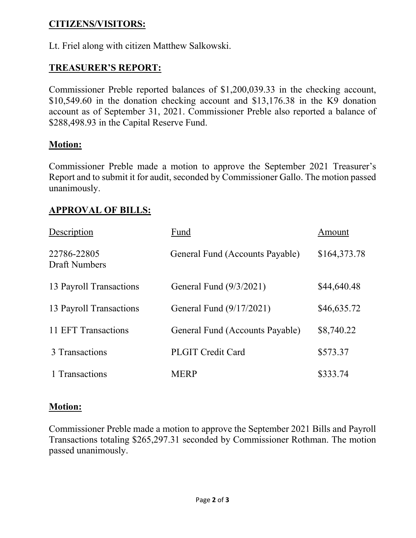## **CITIZENS/VISITORS:**

Lt. Friel along with citizen Matthew Salkowski.

## **TREASURER'S REPORT:**

Commissioner Preble reported balances of \$1,200,039.33 in the checking account, \$10,549.60 in the donation checking account and \$13,176.38 in the K9 donation account as of September 31, 2021. Commissioner Preble also reported a balance of \$288,498.93 in the Capital Reserve Fund.

### **Motion:**

Commissioner Preble made a motion to approve the September 2021 Treasurer's Report and to submit it for audit, seconded by Commissioner Gallo. The motion passed unanimously.

## **APPROVAL OF BILLS:**

| Description                         | Fund                            | Amount       |
|-------------------------------------|---------------------------------|--------------|
| 22786-22805<br><b>Draft Numbers</b> | General Fund (Accounts Payable) | \$164,373.78 |
| 13 Payroll Transactions             | General Fund (9/3/2021)         | \$44,640.48  |
| 13 Payroll Transactions             | General Fund (9/17/2021)        | \$46,635.72  |
| 11 EFT Transactions                 | General Fund (Accounts Payable) | \$8,740.22   |
| 3 Transactions                      | <b>PLGIT Credit Card</b>        | \$573.37     |
| 1 Transactions                      | <b>MERP</b>                     | \$333.74     |

### **Motion:**

Commissioner Preble made a motion to approve the September 2021 Bills and Payroll Transactions totaling \$265,297.31 seconded by Commissioner Rothman. The motion passed unanimously.